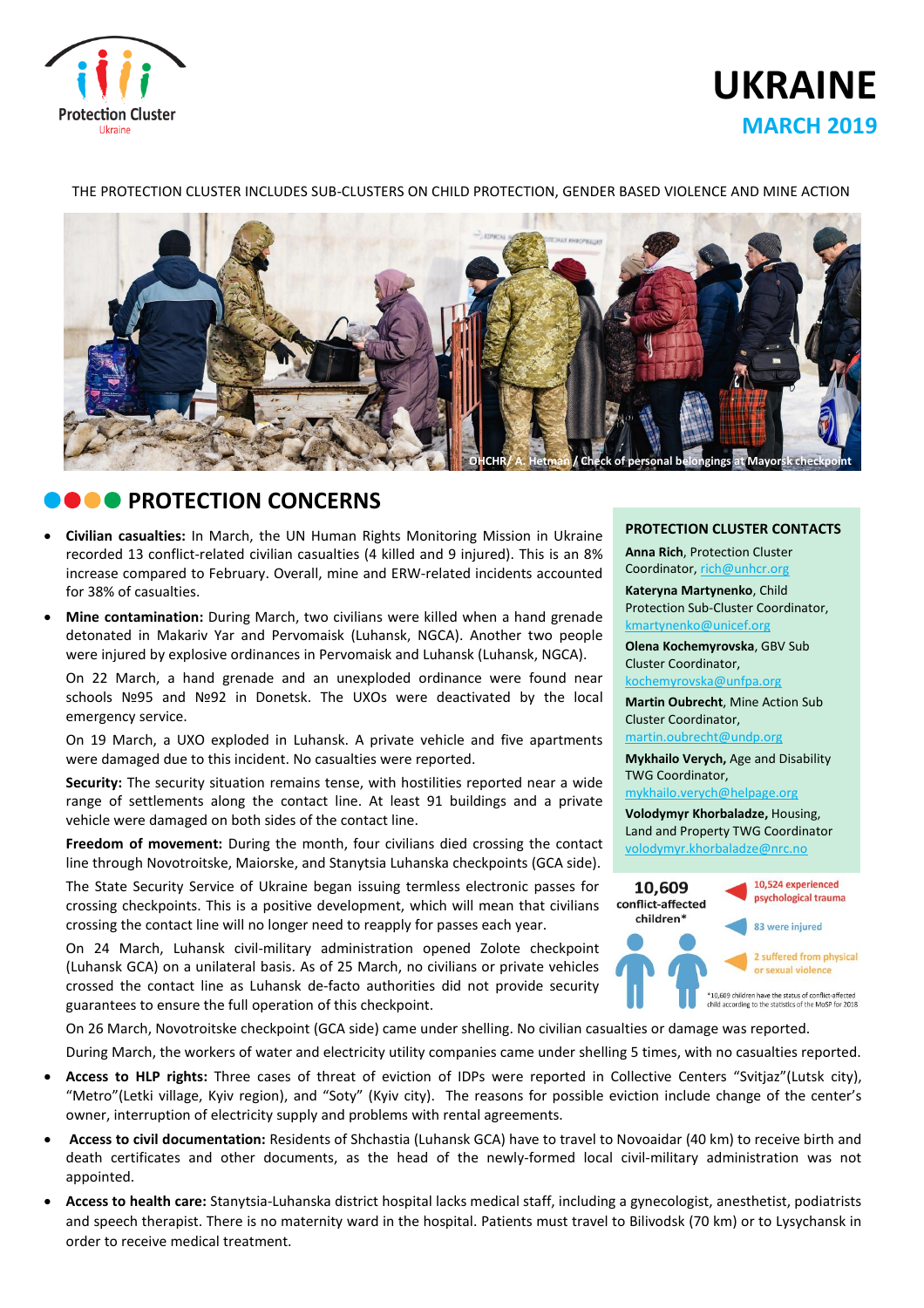

# **UKRAINE MARCH 2019**

#### THE PROTECTION CLUSTER INCLUDES SUB-CLUSTERS ON CHILD PROTECTION, GENDER BASED VIOLENCE AND MINE ACTION



# **CONCERNS**

- **Civilian casualties:** In March, the UN Human Rights Monitoring Mission in Ukraine recorded 13 conflict-related civilian casualties (4 killed and 9 injured). This is an 8% increase compared to February. Overall, mine and ERW-related incidents accounted for 38% of casualties.
- **Mine contamination:** During March, two civilians were killed when a hand grenade detonated in Makariv Yar and Pervomaisk (Luhansk, NGCA). Another two people were injured by explosive ordinances in Pervomaisk and Luhansk (Luhansk, NGCA).

On 22 March, a hand grenade and an unexploded ordinance were found near schools №95 and №92 in Donetsk. The UXOs were deactivated by the local emergency service.

On 19 March, a UXO exploded in Luhansk. A private vehicle and five apartments were damaged due to this incident. No casualties were reported.

**Security:** The security situation remains tense, with hostilities reported near a wide range of settlements along the contact line. At least 91 buildings and a private vehicle were damaged on both sides of the contact line.

**Freedom of movement:** During the month, four civilians died crossing the contact line through Novotroitske, Maiorske, and Stanytsia Luhanska checkpoints (GCA side).

The State Security Service of Ukraine began issuing termless electronic passes for crossing checkpoints. This is a positive development, which will mean that civilians crossing the contact line will no longer need to reapply for passes each year.

On 24 March, Luhansk civil-military administration opened Zolote checkpoint (Luhansk GCA) on a unilateral basis. As of 25 March, no civilians or private vehicles crossed the contact line as Luhansk de-facto authorities did not provide security guarantees to ensure the full operation of this checkpoint.

On 26 March, Novotroitske checkpoint (GCA side) came under shelling. No civilian casualties or damage was reported.

During March, the workers of water and eleсtricity utility companies came under shelling 5 times, with no casualties reported.

- **Access to HLP rights:** Three cases of threat of eviction of IDPs were reported in Collective Centers "Svitjaz"(Lutsk city), "Metro"(Letki village, Kyiv region), and "Soty" (Kyiv city). The reasons for possible eviction include change of the center's owner, interruption of electricity supply and problems with rental agreements.
- **Access to civil documentation:** Residents of Shchastia (Luhansk GCA) have to travel to Novoaidar (40 km) to receive birth and death certificates and other documents, as the head of the newly-formed local civil-military administration was not appointed.
- **Access to health care:** Stanytsia-Luhanska district hospital lacks medical staff, including a gynecologist, anesthetist, podiatrists and speech therapist. There is no maternity ward in the hospital. Patients must travel to Bilivodsk (70 km) or to Lysychansk in order to receive medical treatment.

#### **PROTECTION CLUSTER CONTACTS**

**Anna Rich**, Protection Cluster Coordinator, [rich@unhcr.org](mailto:rich@unhcr.org)

**Kateryna Martynenko**, Child Protection Sub-Cluster Coordinator, kmartynenko@unicef.org

**Olena Kochemyrovska**, GBV Sub Cluster Coordinator, [kochemyrovska@unfpa.org](mailto:kristesashvili@unfpa.org)

**Martin Oubrecht**, Mine Action Sub Cluster Coordinator, [martin.oubrecht@undp.org](mailto:martin.oubrecht@undp.org)

**Mykhailo Verych,** Age and Disability TWG Coordinator,

[mykhailo.verych@helpage.org](mailto:mykhailo.verych@helpage.org)

**Volodymyr Khorbaladze,** Housing, Land and Property TWG Coordinator [volodymyr.khorbaladze@nrc.no](mailto:volodymyr.khorbaladze@nrc.no)